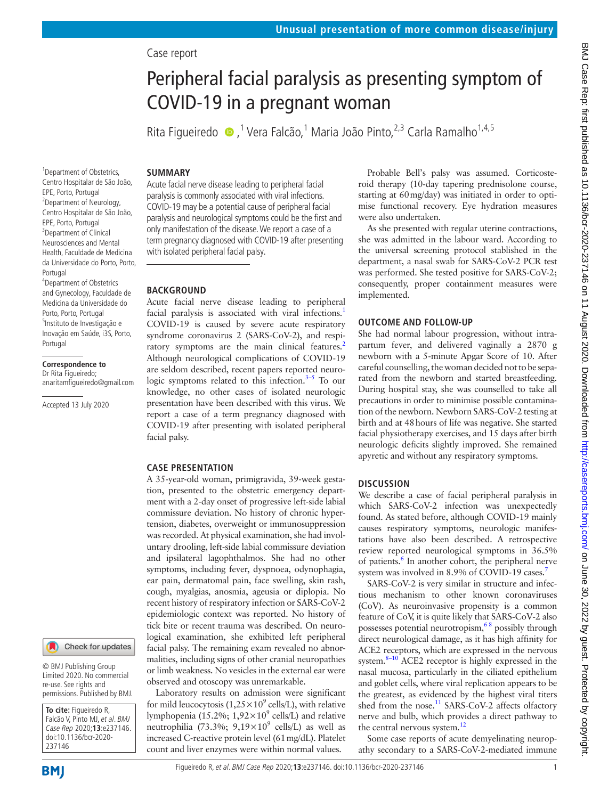# Case report

# Peripheral facial paralysis as presenting symptom of COVID-19 in a pregnant woman

Rita Figueiredo  $\bullet$  ,<sup>1</sup> Vera Falcão,<sup>1</sup> Maria João Pinto,<sup>2,3</sup> Carla Ramalho<sup>1,4,5</sup>

#### **SUMMARY**

<sup>1</sup>Department of Obstetrics, Centro Hospitalar de São João, EPE, Porto, Portugal <sup>2</sup>Department of Neurology, Centro Hospitalar de São João, EPE, Porto, Portugal <sup>3</sup>Department of Clinical Neurosciences and Mental Health, Faculdade de Medicina da Universidade do Porto, Porto,

4 Department of Obstetrics and Gynecology, Faculdade de Medicina da Universidade do Porto, Porto, Portugal 5 Instituto de Investigação e Inovação em Saúde, i3S, Porto,

Portugal

Portugal

**Correspondence to** Dr Rita Figueiredo;

Accepted 13 July 2020

anaritamfigueiredo@gmail.com

Acute facial nerve disease leading to peripheral facial paralysis is commonly associated with viral infections. COVID-19 may be a potential cause of peripheral facial paralysis and neurological symptoms could be the first and only manifestation of the disease. We report a case of a term pregnancy diagnosed with COVID-19 after presenting with isolated peripheral facial palsy.

**BACKGROUND**

Acute facial nerve disease leading to peripheral facial paralysis is associated with viral infections.<sup>1</sup> COVID-19 is caused by severe acute respiratory syndrome coronavirus 2 (SARS-CoV-2), and respiratory symptoms are the main clinical features.<sup>2</sup> Although neurological complications of COVID-19 are seldom described, recent papers reported neurologic symptoms related to this infection. $3-5$  To our knowledge, no other cases of isolated neurologic presentation have been described with this virus. We report a case of a term pregnancy diagnosed with COVID-19 after presenting with isolated peripheral facial palsy.

### **CASE PRESENTATION**

A 35-year-old woman, primigravida, 39-week gestation, presented to the obstetric emergency department with a 2-day onset of progressive left-side labial commissure deviation. No history of chronic hypertension, diabetes, overweight or immunosuppression was recorded. At physical examination, she had involuntary drooling, left-side labial commissure deviation and ipsilateral lagophthalmos. She had no other symptoms, including fever, dyspnoea, odynophagia, ear pain, dermatomal pain, face swelling, skin rash, cough, myalgias, anosmia, ageusia or diplopia. No recent history of respiratory infection or SARS-CoV-2 epidemiologic context was reported. No history of tick bite or recent trauma was described. On neurological examination, she exhibited left peripheral facial palsy. The remaining exam revealed no abnormalities, including signs of other cranial neuropathies or limb weakness. No vesicles in the external ear were observed and otoscopy was unremarkable.

Laboratory results on admission were significant for mild leucocytosis  $(1,25 \times 10^9 \text{ cells/L})$ , with relative lymphopenia (15.2%;  $1,92\times10^9$  cells/L) and relative neutrophilia (73.3%;  $9,19 \times 10^9$  cells/L) as well as increased C-reactive protein level (61mg/dL). Platelet count and liver enzymes were within normal values.

Probable Bell's palsy was assumed. Corticosteroid therapy (10-day tapering prednisolone course, starting at 60mg/day) was initiated in order to optimise functional recovery. Eye hydration measures were also undertaken.

As she presented with regular uterine contractions, she was admitted in the labour ward. According to the universal screening protocol stablished in the department, a nasal swab for SARS-CoV-2 PCR test was performed. She tested positive for SARS-CoV-2; consequently, proper containment measures were implemented.

## **OUTCOME AND FOLLOW-UP**

She had normal labour progression, without intrapartum fever, and delivered vaginally a 2870 g newborn with a 5-minute Apgar Score of 10. After careful counselling, the woman decided not to be separated from the newborn and started breastfeeding. During hospital stay, she was counselled to take all precautions in order to minimise possible contamination of the newborn. Newborn SARS-CoV-2 testing at birth and at 48hours of life was negative. She started facial physiotherapy exercises, and 15 days after birth neurologic deficits slightly improved. She remained apyretic and without any respiratory symptoms.

#### **DISCUSSION**

We describe a case of facial peripheral paralysis in which SARS-CoV-2 infection was unexpectedly found. As stated before, although COVID-19 mainly causes respiratory symptoms, neurologic manifestations have also been described. A retrospective review reported neurological symptoms in 36.5% of patients.<sup>[6](#page-1-3)</sup> In another cohort, the peripheral nerve system was involved in 8.9% of COVID-19 cases.<sup>7</sup>

SARS-CoV-2 is very similar in structure and infectious mechanism to other known coronaviruses (CoV). As neuroinvasive propensity is a common feature of CoV, it is quite likely that SARS‐CoV‐2 also possesses potential neurotropism,<sup>68</sup> possibly through direct neurological damage, as it has high affinity for ACE2 receptors, which are expressed in the nervous system. $8-10$  ACE2 receptor is highly expressed in the nasal mucosa, particularly in the ciliated epithelium and goblet cells, where viral replication appears to be the greatest, as evidenced by the highest viral titers shed from the nose.<sup>[11](#page-1-6)</sup> SARS-CoV-2 affects olfactory nerve and bulb, which provides a direct pathway to the central nervous system.<sup>[12](#page-1-7)</sup>

Some case reports of acute demyelinating neuropathy secondary to a SARS-CoV-2-mediated immune



© BMJ Publishing Group Limited 2020. No commercial re-use. See rights and permissions. Published by BMJ.

**To cite:** Figueiredo R, Falcão V, Pinto MJ, et al. BMJ Case Rep 2020;**13**:e237146. doi:10.1136/bcr-2020- 237146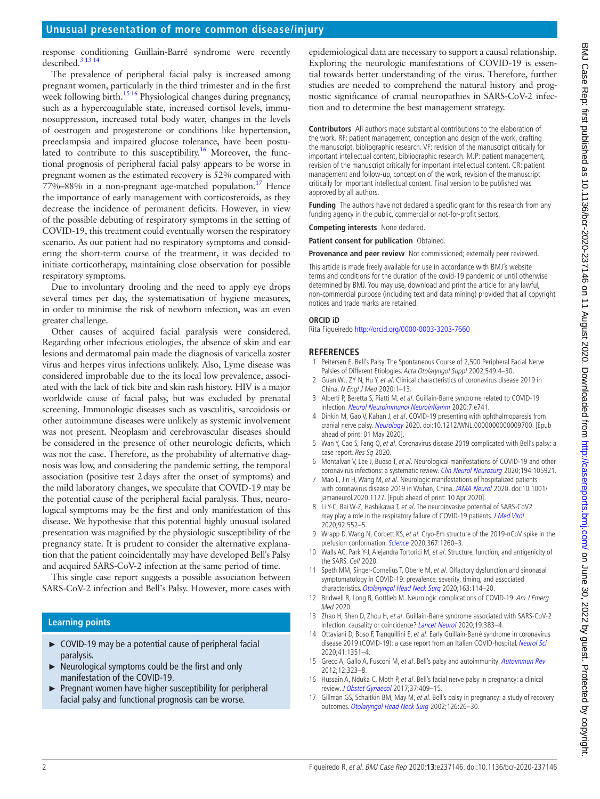response conditioning Guillain-Barré syndrome were recently described.<sup>3</sup> <sup>13</sup> <sup>14</sup>

The prevalence of peripheral facial palsy is increased among pregnant women, particularly in the third trimester and in the first week following birth.<sup>15 16</sup> Physiological changes during pregnancy, such as a hypercoagulable state, increased cortisol levels, immunosuppression, increased total body water, changes in the levels of oestrogen and progesterone or conditions like hypertension, preeclampsia and impaired glucose tolerance, have been postulated to contribute to this susceptibility.<sup>16</sup> Moreover, the functional prognosis of peripheral facial palsy appears to be worse in pregnant women as the estimated recovery is 52% compared with  $77\% - 88\%$  in a non-pregnant age-matched population.<sup>[17](#page-1-10)</sup> Hence the importance of early management with corticosteroids, as they decrease the incidence of permanent deficits. However, in view of the possible debuting of respiratory symptoms in the setting of COVID-19, this treatment could eventually worsen the respiratory scenario. As our patient had no respiratory symptoms and considering the short-term course of the treatment, it was decided to initiate corticotherapy, maintaining close observation for possible respiratory symptoms.

Due to involuntary drooling and the need to apply eye drops several times per day, the systematisation of hygiene measures, in order to minimise the risk of newborn infection, was an even greater challenge.

Other causes of acquired facial paralysis were considered. Regarding other infectious etiologies, the absence of skin and ear lesions and dermatomal pain made the diagnosis of varicella zoster virus and herpes virus infections unlikely. Also, Lyme disease was considered improbable due to the its local low prevalence, associated with the lack of tick bite and skin rash history. HIV is a major worldwide cause of facial palsy, but was excluded by prenatal screening. Immunologic diseases such as vasculitis, sarcoidosis or other autoimmune diseases were unlikely as systemic involvement was not present. Neoplasm and cerebrovascular diseases should be considered in the presence of other neurologic deficits, which was not the case. Therefore, as the probability of alternative diagnosis was low, and considering the pandemic setting, the temporal association (positive test 2days after the onset of symptoms) and the mild laboratory changes, we speculate that COVID-19 may be the potential cause of the peripheral facial paralysis. Thus, neurological symptoms may be the first and only manifestation of this disease. We hypothesise that this potential highly unusual isolated presentation was magnified by the physiologic susceptibility of the pregnancy state. It is prudent to consider the alternative explanation that the patient coincidentally may have developed Bell's Palsy and acquired SARS-CoV-2 infection at the same period of time.

This single case report suggests a possible association between SARS-CoV-2 infection and Bell's Palsy. However, more cases with

## **Learning points**

- ► COVID-19 may be a potential cause of peripheral facial paralysis.
- ► Neurological symptoms could be the first and only manifestation of the COVID-19.
- ► Pregnant women have higher susceptibility for peripheral facial palsy and functional prognosis can be worse.

epidemiological data are necessary to support a causal relationship. Exploring the neurologic manifestations of COVID-19 is essential towards better understanding of the virus. Therefore, further studies are needed to comprehend the natural history and prognostic significance of cranial neuropathies in SARS-CoV-2 infection and to determine the best management strategy.

**Contributors** All authors made substantial contributions to the elaboration of the work. RF: patient management, conception and design of the work, drafting the manuscript, bibliographic research. VF: revision of the manuscript critically for important intellectual content, bibliographic research. MJP: patient management, revision of the manuscript critically for important intellectual content. CR: patient management and follow-up, conception of the work, revision of the manuscript critically for important intellectual content. Final version to be published was approved by all authors.

**Funding** The authors have not declared a specific grant for this research from any funding agency in the public, commercial or not-for-profit sectors.

**Competing interests** None declared.

**Patient consent for publication** Obtained.

**Provenance and peer review** Not commissioned; externally peer reviewed.

This article is made freely available for use in accordance with BMJ's website terms and conditions for the duration of the covid-19 pandemic or until otherwise determined by BMJ. You may use, download and print the article for any lawful, non-commercial purpose (including text and data mining) provided that all copyright notices and trade marks are retained.

#### **ORCID iD**

Rita Figueiredo<http://orcid.org/0000-0003-3203-7660>

#### **REFERENCES**

- <span id="page-1-0"></span>1 Peitersen E. Bell's Palsy: The Spontaneous Course of 2,500 Peripheral Facial Nerve Palsies of Different Etiologies. Acta Otolaryngol Suppl 2002;549:4–30.
- <span id="page-1-1"></span>2 Guan WJ, ZY N, Hu Y, et al. Clinical characteristics of coronavirus disease 2019 in China. N Engl J Med 2020:1–13.
- <span id="page-1-2"></span>3 Alberti P, Beretta S, Piatti M, et al. Guillain-Barré syndrome related to COVID-19 infection. [Neurol Neuroimmunol Neuroinflamm](http://dx.doi.org/10.1212/NXI.0000000000000741) 2020;7:e741.
- 4 Dinkin M, Gao V, Kahan J, et al. COVID-19 presenting with ophthalmoparesis from cranial nerve palsy. [Neurology](http://dx.doi.org/10.1212/WNL.0000000000009700) 2020. doi:10.1212/WNL.0000000000009700. [Epub ahead of print: 01 May 2020].
- 5 Wan Y, Cao S, Fang Q, et al. Coronavirus disease 2019 complicated with Bell's palsy: a case report. Res Sq 2020.
- <span id="page-1-3"></span>6 Montalvan V, Lee J, Bueso T, et al. Neurological manifestations of COVID-19 and other coronavirus infections: a systematic review. [Clin Neurol Neurosurg](http://dx.doi.org/10.1016/j.clineuro.2020.105921) 2020;194:105921.
- <span id="page-1-4"></span>7 Mao L, Jin H, Wang M, et al. Neurologic manifestations of hospitalized patients with coronavirus disease 2019 in Wuhan, China. [JAMA Neurol](http://dx.doi.org/10.1001/jamaneurol.2020.1127) 2020. doi:10.1001/ jamaneurol.2020.1127. [Epub ahead of print: 10 Apr 2020].
- <span id="page-1-5"></span>8 Li Y-C, Bai W-Z, Hashikawa T, et al. The neuroinvasive potential of SARS-CoV2 may play a role in the respiratory failure of COVID-19 patients. [J Med Virol](http://dx.doi.org/10.1002/jmv.25728) 2020;92:552–5.
- 9 Wrapp D, Wang N, Corbett KS, et al. Cryo-Em structure of the 2019-nCoV spike in the prefusion conformation. [Science](http://dx.doi.org/10.1126/science.abb2507) 2020;367:1260–3.
- 10 Walls AC, Park Y-J, Alejandra Tortorici M, et al. Structure, function, and antigenicity of the SARS. Cell 2020.
- <span id="page-1-6"></span>11 Speth MM, Singer-Cornelius T, Oberle M, et al. Olfactory dysfunction and sinonasal symptomatology in COVID-19: prevalence, severity, timing, and associated characteristics. [Otolaryngol Head Neck Surg](http://dx.doi.org/10.1177/0194599820929185) 2020;163:114–20.
- <span id="page-1-7"></span>12 Bridwell R, Long B, Gottlieb M. Neurologic complications of COVID-19. Am J Emerg Med 2020.
- 13 Zhao H, Shen D, Zhou H, et al. Guillain-Barré syndrome associated with SARS-CoV-2 infection: causality or coincidence? [Lancet Neurol](http://dx.doi.org/10.1016/S1474-4422(20)30109-5) 2020;19:383–4.
- 14 Ottaviani D, Boso F, Tranquillini E, et al. Early Guillain-Barré syndrome in coronavirus disease 2019 (COVID-19): a case report from an Italian COVID-hospital. [Neurol Sci](http://dx.doi.org/10.1007/s10072-020-04449-8) 2020;41:1351–4.
- <span id="page-1-8"></span>15 Greco A, Gallo A, Fusconi M, et al. Bell's palsy and autoimmunity. [Autoimmun Rev](http://dx.doi.org/10.1016/j.autrev.2012.05.008) 2012;12:323–8.
- <span id="page-1-9"></span>16 Hussain A, Nduka C, Moth P, et al. Bell's facial nerve palsy in pregnancy: a clinical review. [J Obstet Gynaecol](http://dx.doi.org/10.1080/01443615.2016.1256973) 2017;37:409–15.
- <span id="page-1-10"></span>17 Gillman GS, Schaitkin BM, May M, et al. Bell's palsy in pregnancy: a study of recovery outcomes. [Otolaryngol Head Neck Surg](http://dx.doi.org/10.1067/mhn.2002.121321) 2002;126:26–30.